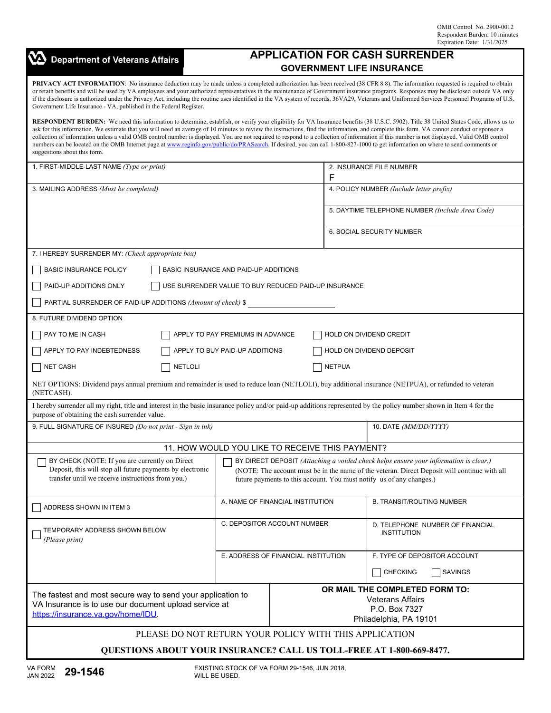| <b>Department of Veterans Affairs</b>                                                                                                                                                                                                                                                                                                                                                                                                                                                                                                                                                                                                                                                                                                                                                                 | <b>APPLICATION FOR CASH SURRENDER</b> |                                                                                                      |                                                 |                                                        |  |  |                                                             |  |
|-------------------------------------------------------------------------------------------------------------------------------------------------------------------------------------------------------------------------------------------------------------------------------------------------------------------------------------------------------------------------------------------------------------------------------------------------------------------------------------------------------------------------------------------------------------------------------------------------------------------------------------------------------------------------------------------------------------------------------------------------------------------------------------------------------|---------------------------------------|------------------------------------------------------------------------------------------------------|-------------------------------------------------|--------------------------------------------------------|--|--|-------------------------------------------------------------|--|
| <b>GOVERNMENT LIFE INSURANCE</b>                                                                                                                                                                                                                                                                                                                                                                                                                                                                                                                                                                                                                                                                                                                                                                      |                                       |                                                                                                      |                                                 |                                                        |  |  |                                                             |  |
| <b>PRIVACY ACT INFORMATION:</b> No insurance deduction may be made unless a completed authorization has been received (38 CFR 8.8). The information requested is required to obtain<br>or retain benefits and will be used by VA employees and your authorized representatives in the maintenance of Government insurance programs. Responses may be disclosed outside VA only<br>if the disclosure is authorized under the Privacy Act, including the routine uses identified in the VA system of records, 36VA29, Veterans and Uniformed Services Personnel Programs of U.S.<br>Government Life Insurance - VA, published in the Federal Register.                                                                                                                                                  |                                       |                                                                                                      |                                                 |                                                        |  |  |                                                             |  |
| RESPONDENT BURDEN: We need this information to determine, establish, or verify your eligibility for VA Insurance benefits (38 U.S.C. 5902). Title 38 United States Code, allows us to<br>ask for this information. We estimate that you will need an average of 10 minutes to review the instructions, find the information, and complete this form. VA cannot conduct or sponsor a<br>collection of information unless a valid OMB control number is displayed. You are not required to respond to a collection of information if this number is not displayed. Valid OMB control<br>numbers can be located on the OMB Internet page at www.reginfo.gov/public/do/PRASearch. If desired, you can call 1-800-827-1000 to get information on where to send comments or<br>suggestions about this form. |                                       |                                                                                                      |                                                 |                                                        |  |  |                                                             |  |
| 1. FIRST-MIDDLE-LAST NAME (Type or print)                                                                                                                                                                                                                                                                                                                                                                                                                                                                                                                                                                                                                                                                                                                                                             |                                       | 2. INSURANCE FILE NUMBER<br>F                                                                        |                                                 |                                                        |  |  |                                                             |  |
| 3. MAILING ADDRESS (Must be completed)                                                                                                                                                                                                                                                                                                                                                                                                                                                                                                                                                                                                                                                                                                                                                                |                                       |                                                                                                      | 4. POLICY NUMBER (Include letter prefix)        |                                                        |  |  |                                                             |  |
|                                                                                                                                                                                                                                                                                                                                                                                                                                                                                                                                                                                                                                                                                                                                                                                                       |                                       |                                                                                                      | 5. DAYTIME TELEPHONE NUMBER (Include Area Code) |                                                        |  |  |                                                             |  |
|                                                                                                                                                                                                                                                                                                                                                                                                                                                                                                                                                                                                                                                                                                                                                                                                       |                                       |                                                                                                      |                                                 | 6. SOCIAL SECURITY NUMBER                              |  |  |                                                             |  |
| 7. I HEREBY SURRENDER MY: (Check appropriate box)                                                                                                                                                                                                                                                                                                                                                                                                                                                                                                                                                                                                                                                                                                                                                     |                                       |                                                                                                      |                                                 |                                                        |  |  |                                                             |  |
| <b>BASIC INSURANCE POLICY</b><br>BASIC INSURANCE AND PAID-UP ADDITIONS                                                                                                                                                                                                                                                                                                                                                                                                                                                                                                                                                                                                                                                                                                                                |                                       |                                                                                                      |                                                 |                                                        |  |  |                                                             |  |
| PAID-UP ADDITIONS ONLY<br>USE SURRENDER VALUE TO BUY REDUCED PAID-UP INSURANCE                                                                                                                                                                                                                                                                                                                                                                                                                                                                                                                                                                                                                                                                                                                        |                                       |                                                                                                      |                                                 |                                                        |  |  |                                                             |  |
| PARTIAL SURRENDER OF PAID-UP ADDITIONS (Amount of check) \$                                                                                                                                                                                                                                                                                                                                                                                                                                                                                                                                                                                                                                                                                                                                           |                                       |                                                                                                      |                                                 |                                                        |  |  |                                                             |  |
| 8. FUTURE DIVIDEND OPTION                                                                                                                                                                                                                                                                                                                                                                                                                                                                                                                                                                                                                                                                                                                                                                             |                                       |                                                                                                      |                                                 |                                                        |  |  |                                                             |  |
| APPLY TO PAY PREMIUMS IN ADVANCE<br>PAY TO ME IN CASH<br>HOLD ON DIVIDEND CREDIT                                                                                                                                                                                                                                                                                                                                                                                                                                                                                                                                                                                                                                                                                                                      |                                       |                                                                                                      |                                                 |                                                        |  |  |                                                             |  |
| APPLY TO PAY INDEBTEDNESS<br>APPLY TO BUY PAID-UP ADDITIONS<br>HOLD ON DIVIDEND DEPOSIT                                                                                                                                                                                                                                                                                                                                                                                                                                                                                                                                                                                                                                                                                                               |                                       |                                                                                                      |                                                 |                                                        |  |  |                                                             |  |
| <b>NETLOLI</b><br><b>NET CASH</b>                                                                                                                                                                                                                                                                                                                                                                                                                                                                                                                                                                                                                                                                                                                                                                     |                                       |                                                                                                      | <b>NETPUA</b>                                   |                                                        |  |  |                                                             |  |
| NET OPTIONS: Dividend pays annual premium and remainder is used to reduce loan (NETLOLI), buy additional insurance (NETPUA), or refunded to veteran<br>(NETCASH).                                                                                                                                                                                                                                                                                                                                                                                                                                                                                                                                                                                                                                     |                                       |                                                                                                      |                                                 |                                                        |  |  |                                                             |  |
| I hereby surrender all my right, title and interest in the basic insurance policy and/or paid-up additions represented by the policy number shown in Item 4 for the<br>purpose of obtaining the cash surrender value.                                                                                                                                                                                                                                                                                                                                                                                                                                                                                                                                                                                 |                                       |                                                                                                      |                                                 |                                                        |  |  |                                                             |  |
| 9. FULL SIGNATURE OF INSURED (Do not print - Sign in ink)                                                                                                                                                                                                                                                                                                                                                                                                                                                                                                                                                                                                                                                                                                                                             |                                       |                                                                                                      |                                                 | 10. DATE (MM/DD/YYYY)                                  |  |  |                                                             |  |
| 11. HOW WOULD YOU LIKE TO RECEIVE THIS PAYMENT?                                                                                                                                                                                                                                                                                                                                                                                                                                                                                                                                                                                                                                                                                                                                                       |                                       |                                                                                                      |                                                 |                                                        |  |  |                                                             |  |
| BY CHECK (NOTE: If you are currently on Direct<br>BY DIRECT DEPOSIT (Attaching a voided check helps ensure your information is clear.)<br>Deposit, this will stop all future payments by electronic<br>(NOTE: The account must be in the name of the veteran. Direct Deposit will continue with all<br>transfer until we receive instructions from you.)<br>future payments to this account. You must notify us of any changes.)                                                                                                                                                                                                                                                                                                                                                                      |                                       |                                                                                                      |                                                 |                                                        |  |  |                                                             |  |
|                                                                                                                                                                                                                                                                                                                                                                                                                                                                                                                                                                                                                                                                                                                                                                                                       |                                       |                                                                                                      |                                                 |                                                        |  |  | A. NAME OF FINANCIAL INSTITUTION<br>ADDRESS SHOWN IN ITEM 3 |  |
| TEMPORARY ADDRESS SHOWN BELOW<br>(Please print)                                                                                                                                                                                                                                                                                                                                                                                                                                                                                                                                                                                                                                                                                                                                                       | C. DEPOSITOR ACCOUNT NUMBER           |                                                                                                      |                                                 | D. TELEPHONE NUMBER OF FINANCIAL<br><b>INSTITUTION</b> |  |  |                                                             |  |
|                                                                                                                                                                                                                                                                                                                                                                                                                                                                                                                                                                                                                                                                                                                                                                                                       | E. ADDRESS OF FINANCIAL INSTITUTION   |                                                                                                      |                                                 | F. TYPE OF DEPOSITOR ACCOUNT                           |  |  |                                                             |  |
|                                                                                                                                                                                                                                                                                                                                                                                                                                                                                                                                                                                                                                                                                                                                                                                                       |                                       |                                                                                                      |                                                 | <b>CHECKING</b><br>SAVINGS                             |  |  |                                                             |  |
| The fastest and most secure way to send your application to<br>VA Insurance is to use our document upload service at<br>https://insurance.va.gov/home/IDU.                                                                                                                                                                                                                                                                                                                                                                                                                                                                                                                                                                                                                                            |                                       | OR MAIL THE COMPLETED FORM TO:<br><b>Veterans Affairs</b><br>P.O. Box 7327<br>Philadelphia, PA 19101 |                                                 |                                                        |  |  |                                                             |  |
| PLEASE DO NOT RETURN YOUR POLICY WITH THIS APPLICATION                                                                                                                                                                                                                                                                                                                                                                                                                                                                                                                                                                                                                                                                                                                                                |                                       |                                                                                                      |                                                 |                                                        |  |  |                                                             |  |
| <b>QUESTIONS ABOUT YOUR INSURANCE? CALL US TOLL-FREE AT 1-800-669-8477.</b>                                                                                                                                                                                                                                                                                                                                                                                                                                                                                                                                                                                                                                                                                                                           |                                       |                                                                                                      |                                                 |                                                        |  |  |                                                             |  |